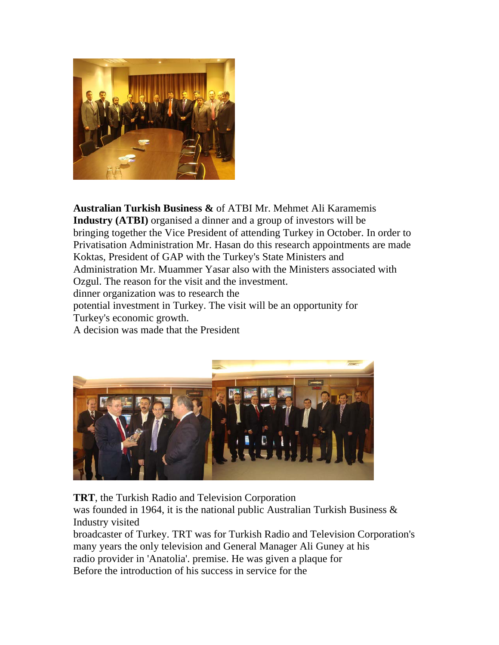

**Australian Turkish Business &** of ATBI Mr. Mehmet Ali Karamemis **Industry (ATBI)** organised a dinner and a group of investors will be bringing together the Vice President of attending Turkey in October. In order to Privatisation Administration Mr. Hasan do this research appointments are made Koktas, President of GAP with the Turkey's State Ministers and Administration Mr. Muammer Yasar also with the Ministers associated with Ozgul. The reason for the visit and the investment. dinner organization was to research the potential investment in Turkey. The visit will be an opportunity for Turkey's economic growth. A decision was made that the President



**TRT**, the Turkish Radio and Television Corporation

was founded in 1964, it is the national public Australian Turkish Business & Industry visited

broadcaster of Turkey. TRT was for Turkish Radio and Television Corporation's many years the only television and General Manager Ali Guney at his radio provider in 'Anatolia'. premise. He was given a plaque for Before the introduction of his success in service for the